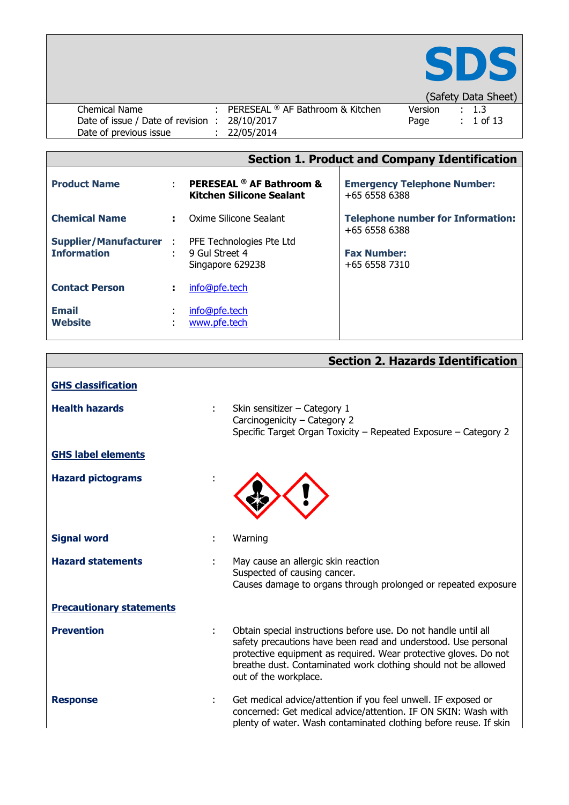

|                                               |                                                                   |         | $\overline{C}$   |  |
|-----------------------------------------------|-------------------------------------------------------------------|---------|------------------|--|
| Chemical Name                                 | : PERESEAL $\textcircled{\tiny{\textcirc}}$ AF Bathroom & Kitchen | Version | $\therefore$ 1.3 |  |
| Date of issue / Date of revision : 28/10/2017 |                                                                   | Page    | $\div$ 1 of 13   |  |
| Date of previous issue                        | : 22/05/2014                                                      |         |                  |  |

|  |  |  | <b>Section 1. Product and Company Identification</b> |
|--|--|--|------------------------------------------------------|
|  |  |  |                                                      |

| <b>Product Name</b>                                 |    | <b>PERESEAL ® AF Bathroom &amp;</b><br><b>Kitchen Silicone Sealant</b> | <b>Emergency Telephone Number:</b><br>$+6565586388$       |
|-----------------------------------------------------|----|------------------------------------------------------------------------|-----------------------------------------------------------|
| <b>Chemical Name</b>                                |    | Oxime Silicone Sealant                                                 | <b>Telephone number for Information:</b><br>$+6565586388$ |
| <b>Supplier/Manufacturer:</b><br><b>Information</b> | ÷. | PFE Technologies Pte Ltd<br>9 Gul Street 4<br>Singapore 629238         | <b>Fax Number:</b><br>+65 6558 7310                       |
| <b>Contact Person</b>                               |    | info@pfe.tech                                                          |                                                           |
| <b>Email</b><br><b>Website</b>                      |    | info@pfe.tech<br>www.pfe.tech                                          |                                                           |

|  |  | <b>Section 2. Hazards Identification</b> |
|--|--|------------------------------------------|
|--|--|------------------------------------------|

| <b>GHS classification</b>       |   |                                                                                                                                                                                                                                                                                                  |
|---------------------------------|---|--------------------------------------------------------------------------------------------------------------------------------------------------------------------------------------------------------------------------------------------------------------------------------------------------|
| <b>Health hazards</b>           | ÷ | Skin sensitizer - Category 1<br>Carcinogenicity - Category 2<br>Specific Target Organ Toxicity - Repeated Exposure - Category 2                                                                                                                                                                  |
| <b>GHS label elements</b>       |   |                                                                                                                                                                                                                                                                                                  |
| <b>Hazard pictograms</b>        |   |                                                                                                                                                                                                                                                                                                  |
| <b>Signal word</b>              | ÷ | Warning                                                                                                                                                                                                                                                                                          |
| <b>Hazard statements</b>        | ÷ | May cause an allergic skin reaction<br>Suspected of causing cancer.<br>Causes damage to organs through prolonged or repeated exposure                                                                                                                                                            |
| <b>Precautionary statements</b> |   |                                                                                                                                                                                                                                                                                                  |
| <b>Prevention</b>               | ÷ | Obtain special instructions before use. Do not handle until all<br>safety precautions have been read and understood. Use personal<br>protective equipment as required. Wear protective gloves. Do not<br>breathe dust. Contaminated work clothing should not be allowed<br>out of the workplace. |
| <b>Response</b>                 | ÷ | Get medical advice/attention if you feel unwell. IF exposed or<br>concerned: Get medical advice/attention. IF ON SKIN: Wash with<br>plenty of water. Wash contaminated clothing before reuse. If skin                                                                                            |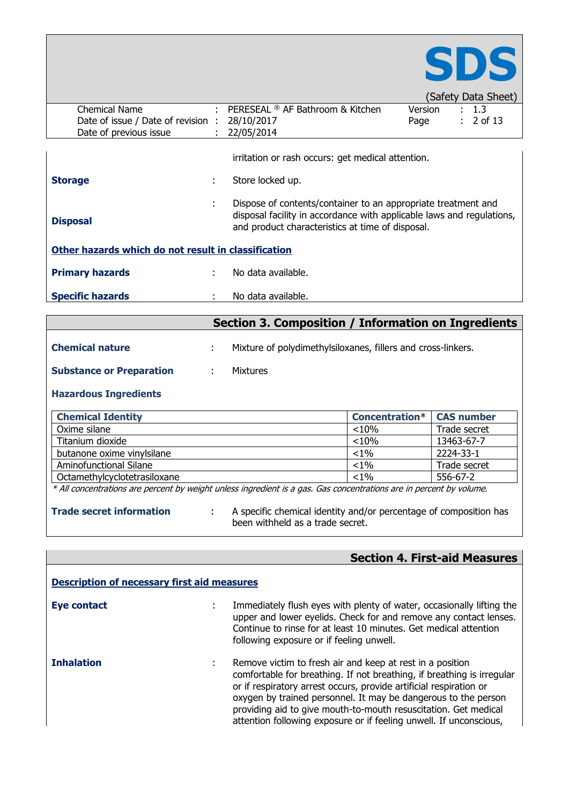

|                                                     |    |                                                                                                                                                                                            |         |  | (Safety Data Sheet) |
|-----------------------------------------------------|----|--------------------------------------------------------------------------------------------------------------------------------------------------------------------------------------------|---------|--|---------------------|
| Chemical Name                                       |    | : PERESEAL $\textcircled{\tiny{\textcirc}}$ AF Bathroom & Kitchen                                                                                                                          | Version |  | : 1.3               |
| Date of issue / Date of revision:                   |    | 28/10/2017                                                                                                                                                                                 | Page    |  | $: 2$ of 13         |
| Date of previous issue                              |    | 22/05/2014                                                                                                                                                                                 |         |  |                     |
|                                                     |    | irritation or rash occurs: get medical attention.                                                                                                                                          |         |  |                     |
| <b>Storage</b>                                      | ٠  | Store locked up.                                                                                                                                                                           |         |  |                     |
| <b>Disposal</b>                                     | ٠  | Dispose of contents/container to an appropriate treatment and<br>disposal facility in accordance with applicable laws and regulations,<br>and product characteristics at time of disposal. |         |  |                     |
| Other hazards which do not result in classification |    |                                                                                                                                                                                            |         |  |                     |
| <b>Primary hazards</b>                              | ÷  | No data available.                                                                                                                                                                         |         |  |                     |
| <b>Specific hazards</b>                             | ٠. | No data available.                                                                                                                                                                         |         |  |                     |
|                                                     |    |                                                                                                                                                                                            |         |  |                     |

# **Section 3. Composition / Information on Ingredients**

| <b>Chemical nature</b>          | Mixture of polydimethylsiloxanes, fillers and cross-linkers. |
|---------------------------------|--------------------------------------------------------------|
| <b>Substance or Preparation</b> | <b>Mixtures</b>                                              |

### **Hazardous Ingredients**

| <b>Chemical Identity</b>     | <b>Concentration*   CAS number</b> |              |
|------------------------------|------------------------------------|--------------|
| Oxime silane                 | < 10%                              | Trade secret |
| Titanium dioxide             | < 10%                              | 13463-67-7   |
| butanone oxime vinylsilane   | $< 1\%$                            | 2224-33-1    |
| Aminofunctional Silane       | $< 1\%$                            | Trade secret |
| Octamethylcyclotetrasiloxane | $< 1\%$                            | 556-67-2     |

\* All concentrations are percent by weight unless ingredient is a gas. Gas concentrations are in percent by volume.

- 
- **Trade secret information** : A specific chemical identity and/or percentage of composition has been withheld as a trade secret.

## **Section 4. First-aid Measures**

| <b>Description of necessary first aid measures</b> |  |                                                                                                                                                                                                                                                                                                                                                                                                                      |  |  |  |
|----------------------------------------------------|--|----------------------------------------------------------------------------------------------------------------------------------------------------------------------------------------------------------------------------------------------------------------------------------------------------------------------------------------------------------------------------------------------------------------------|--|--|--|
| <b>Eye contact</b>                                 |  | Immediately flush eyes with plenty of water, occasionally lifting the<br>upper and lower eyelids. Check for and remove any contact lenses.<br>Continue to rinse for at least 10 minutes. Get medical attention<br>following exposure or if feeling unwell.                                                                                                                                                           |  |  |  |
| <b>Inhalation</b>                                  |  | Remove victim to fresh air and keep at rest in a position<br>comfortable for breathing. If not breathing, if breathing is irregular<br>or if respiratory arrest occurs, provide artificial respiration or<br>oxygen by trained personnel. It may be dangerous to the person<br>providing aid to give mouth-to-mouth resuscitation. Get medical<br>attention following exposure or if feeling unwell. If unconscious, |  |  |  |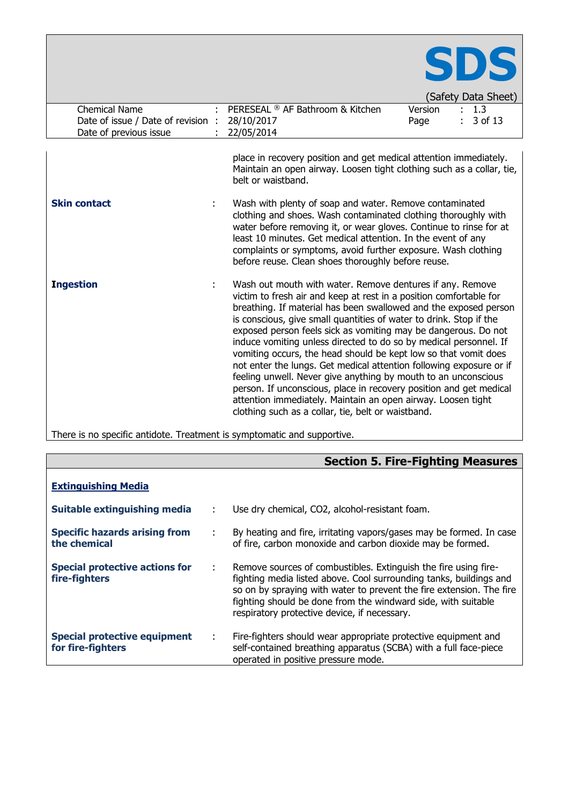| <b>Chemical Name</b><br>Date of issue / Date of revision : | SDS<br>(Safety Data Sheet)<br>Version<br>PERESEAL ® AF Bathroom & Kitchen<br>1.3<br>3 of 13<br>28/10/2017<br>Page                                                                                                                                                                                                                                                                                                                                                                                                                                                                                                                                                                                                                                                                                                        |
|------------------------------------------------------------|--------------------------------------------------------------------------------------------------------------------------------------------------------------------------------------------------------------------------------------------------------------------------------------------------------------------------------------------------------------------------------------------------------------------------------------------------------------------------------------------------------------------------------------------------------------------------------------------------------------------------------------------------------------------------------------------------------------------------------------------------------------------------------------------------------------------------|
| Date of previous issue                                     | 22/05/2014                                                                                                                                                                                                                                                                                                                                                                                                                                                                                                                                                                                                                                                                                                                                                                                                               |
| <b>Skin contact</b>                                        | place in recovery position and get medical attention immediately.<br>Maintain an open airway. Loosen tight clothing such as a collar, tie,<br>belt or waistband.                                                                                                                                                                                                                                                                                                                                                                                                                                                                                                                                                                                                                                                         |
|                                                            | Wash with plenty of soap and water. Remove contaminated<br>clothing and shoes. Wash contaminated clothing thoroughly with<br>water before removing it, or wear gloves. Continue to rinse for at<br>least 10 minutes. Get medical attention. In the event of any<br>complaints or symptoms, avoid further exposure. Wash clothing<br>before reuse. Clean shoes thoroughly before reuse.                                                                                                                                                                                                                                                                                                                                                                                                                                   |
| <b>Ingestion</b>                                           | Wash out mouth with water. Remove dentures if any. Remove<br>victim to fresh air and keep at rest in a position comfortable for<br>breathing. If material has been swallowed and the exposed person<br>is conscious, give small quantities of water to drink. Stop if the<br>exposed person feels sick as vomiting may be dangerous. Do not<br>induce vomiting unless directed to do so by medical personnel. If<br>vomiting occurs, the head should be kept low so that vomit does<br>not enter the lungs. Get medical attention following exposure or if<br>feeling unwell. Never give anything by mouth to an unconscious<br>person. If unconscious, place in recovery position and get medical<br>attention immediately. Maintain an open airway. Loosen tight<br>clothing such as a collar, tie, belt or waistband. |

There is no specific antidote. Treatment is symptomatic and supportive.

|                                                          |   | <b>Section 5. Fire-Fighting Measures</b>                                                                                                                                                                                                                                                                                       |
|----------------------------------------------------------|---|--------------------------------------------------------------------------------------------------------------------------------------------------------------------------------------------------------------------------------------------------------------------------------------------------------------------------------|
| <b>Extinguishing Media</b>                               |   |                                                                                                                                                                                                                                                                                                                                |
| Suitable extinguishing media                             |   | Use dry chemical, CO2, alcohol-resistant foam.                                                                                                                                                                                                                                                                                 |
| <b>Specific hazards arising from</b><br>the chemical     |   | By heating and fire, irritating vapors/gases may be formed. In case<br>of fire, carbon monoxide and carbon dioxide may be formed.                                                                                                                                                                                              |
| <b>Special protective actions for</b><br>fire-fighters   | ÷ | Remove sources of combustibles. Extinguish the fire using fire-<br>fighting media listed above. Cool surrounding tanks, buildings and<br>so on by spraying with water to prevent the fire extension. The fire<br>fighting should be done from the windward side, with suitable<br>respiratory protective device, if necessary. |
| <b>Special protective equipment</b><br>for fire-fighters | ÷ | Fire-fighters should wear appropriate protective equipment and<br>self-contained breathing apparatus (SCBA) with a full face-piece<br>operated in positive pressure mode.                                                                                                                                                      |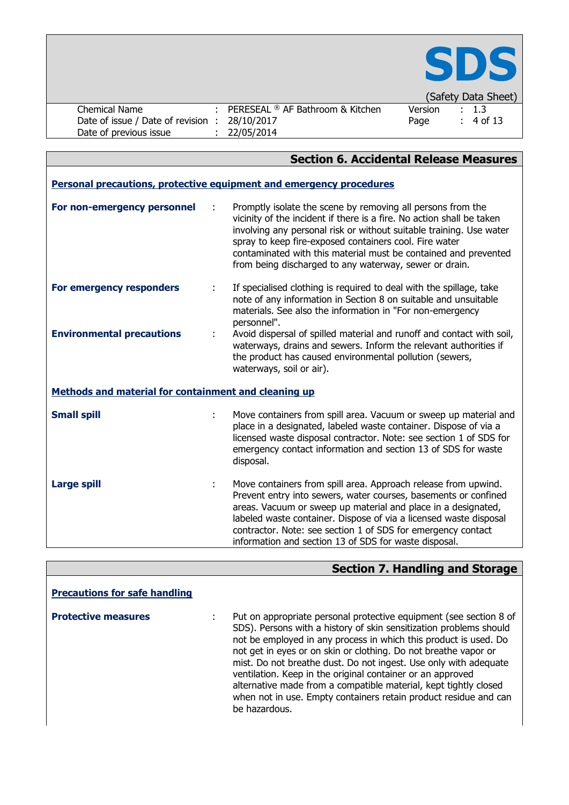

|                                  |                                                                   |         |  | Todicty Data Silcocl |  |
|----------------------------------|-------------------------------------------------------------------|---------|--|----------------------|--|
| Chemical Name                    | : PERESEAL $\textcircled{\tiny{\textcirc}}$ AF Bathroom & Kitchen | Version |  | $\therefore$ 1.3     |  |
| Date of issue / Date of revision | 28/10/2017                                                        | Page    |  | $\div$ 4 of 13       |  |
| Date of previous issue           | 22/05/2014                                                        |         |  |                      |  |

|                                                                     |    | <b>Section 6. Accidental Release Measures</b>                                                                                                                                                                                                                                                                                                                                                      |  |  |  |
|---------------------------------------------------------------------|----|----------------------------------------------------------------------------------------------------------------------------------------------------------------------------------------------------------------------------------------------------------------------------------------------------------------------------------------------------------------------------------------------------|--|--|--|
| Personal precautions, protective equipment and emergency procedures |    |                                                                                                                                                                                                                                                                                                                                                                                                    |  |  |  |
| For non-emergency personnel                                         | ÷  | Promptly isolate the scene by removing all persons from the<br>vicinity of the incident if there is a fire. No action shall be taken<br>involving any personal risk or without suitable training. Use water<br>spray to keep fire-exposed containers cool. Fire water<br>contaminated with this material must be contained and prevented<br>from being discharged to any waterway, sewer or drain. |  |  |  |
| For emergency responders                                            | ÷  | If specialised clothing is required to deal with the spillage, take<br>note of any information in Section 8 on suitable and unsuitable<br>materials. See also the information in "For non-emergency<br>personnel".                                                                                                                                                                                 |  |  |  |
| <b>Environmental precautions</b>                                    |    | Avoid dispersal of spilled material and runoff and contact with soil,<br>waterways, drains and sewers. Inform the relevant authorities if<br>the product has caused environmental pollution (sewers,<br>waterways, soil or air).                                                                                                                                                                   |  |  |  |
| Methods and material for containment and cleaning up                |    |                                                                                                                                                                                                                                                                                                                                                                                                    |  |  |  |
| <b>Small spill</b>                                                  | t, | Move containers from spill area. Vacuum or sweep up material and<br>place in a designated, labeled waste container. Dispose of via a<br>licensed waste disposal contractor. Note: see section 1 of SDS for<br>emergency contact information and section 13 of SDS for waste<br>disposal.                                                                                                           |  |  |  |
| <b>Large spill</b>                                                  | ÷. | Move containers from spill area. Approach release from upwind.<br>Prevent entry into sewers, water courses, basements or confined<br>areas. Vacuum or sweep up material and place in a designated,<br>labeled waste container. Dispose of via a licensed waste disposal<br>contractor. Note: see section 1 of SDS for emergency contact<br>information and section 13 of SDS for waste disposal.   |  |  |  |

# **Section 7. Handling and Storage**

| <b>Precautions for safe handling</b> |                                                                                                                                                                                                                                                                                                                                                                                                                                                                                                                                                                            |
|--------------------------------------|----------------------------------------------------------------------------------------------------------------------------------------------------------------------------------------------------------------------------------------------------------------------------------------------------------------------------------------------------------------------------------------------------------------------------------------------------------------------------------------------------------------------------------------------------------------------------|
| <b>Protective measures</b>           | Put on appropriate personal protective equipment (see section 8 of<br>SDS). Persons with a history of skin sensitization problems should<br>not be employed in any process in which this product is used. Do<br>not get in eyes or on skin or clothing. Do not breathe vapor or<br>mist. Do not breathe dust. Do not ingest. Use only with adequate<br>ventilation. Keep in the original container or an approved<br>alternative made from a compatible material, kept tightly closed<br>when not in use. Empty containers retain product residue and can<br>be hazardous. |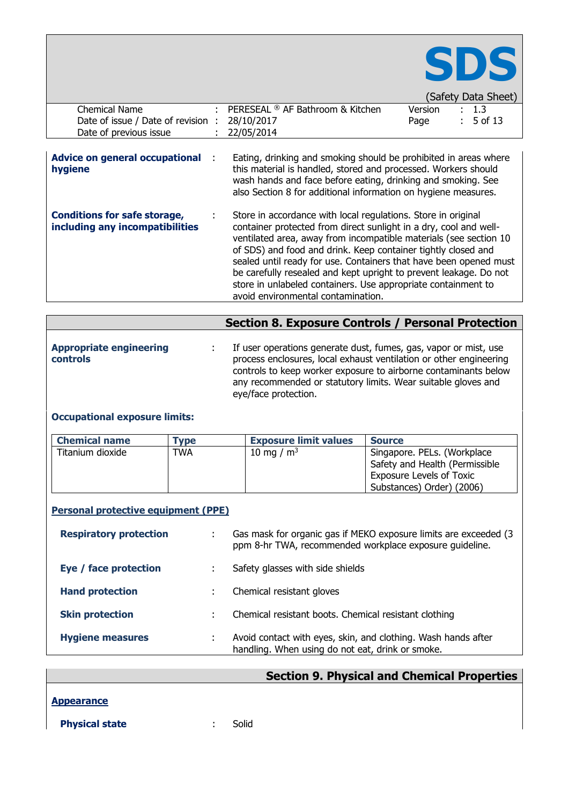

|                                               |                                  |         | (Safety Data Sheet)  |  |
|-----------------------------------------------|----------------------------------|---------|----------------------|--|
| Chemical Name                                 | PERESEAL ® AF Bathroom & Kitchen | Version | $\therefore$ 1.3     |  |
| Date of issue / Date of revision : 28/10/2017 |                                  | Page    | $\therefore$ 5 of 13 |  |
| Date of previous issue                        | 22/05/2014                       |         |                      |  |

| Advice on general occupational :<br>hygiene                            | Eating, drinking and smoking should be prohibited in areas where<br>this material is handled, stored and processed. Workers should<br>wash hands and face before eating, drinking and smoking. See<br>also Section 8 for additional information on hygiene measures.                                                                                                                                                                                                                                                      |
|------------------------------------------------------------------------|---------------------------------------------------------------------------------------------------------------------------------------------------------------------------------------------------------------------------------------------------------------------------------------------------------------------------------------------------------------------------------------------------------------------------------------------------------------------------------------------------------------------------|
| <b>Conditions for safe storage,</b><br>including any incompatibilities | Store in accordance with local regulations. Store in original<br>container protected from direct sunlight in a dry, cool and well-<br>ventilated area, away from incompatible materials (see section 10<br>of SDS) and food and drink. Keep container tightly closed and<br>sealed until ready for use. Containers that have been opened must<br>be carefully resealed and kept upright to prevent leakage. Do not<br>store in unlabeled containers. Use appropriate containment to<br>avoid environmental contamination. |

|                                            | <b>Section 8. Exposure Controls / Personal Protection</b>                                                                                                                                                                                                                                          |
|--------------------------------------------|----------------------------------------------------------------------------------------------------------------------------------------------------------------------------------------------------------------------------------------------------------------------------------------------------|
| <b>Appropriate engineering</b><br>controls | If user operations generate dust, fumes, gas, vapor or mist, use<br>process enclosures, local exhaust ventilation or other engineering<br>controls to keep worker exposure to airborne contaminants below<br>any recommended or statutory limits. Wear suitable gloves and<br>eye/face protection. |

### **Occupational exposure limits:**

| <b>Chemical name</b> | <b>Type</b> | <b>Exposure limit values</b> | <b>Source</b>                   |
|----------------------|-------------|------------------------------|---------------------------------|
| Titanium dioxide     | <b>TWA</b>  | 10 mg / $m3$                 | Singapore. PELs. (Workplace     |
|                      |             |                              | Safety and Health (Permissible  |
|                      |             |                              | <b>Exposure Levels of Toxic</b> |
|                      |             |                              | Substances) Order) (2006)       |

#### **Personal protective equipment (PPE)**

| <b>Respiratory protection</b> | Gas mask for organic gas if MEKO exposure limits are exceeded (3)<br>ppm 8-hr TWA, recommended workplace exposure quideline. |
|-------------------------------|------------------------------------------------------------------------------------------------------------------------------|
| Eye / face protection         | Safety glasses with side shields                                                                                             |
| <b>Hand protection</b>        | Chemical resistant gloves                                                                                                    |
| <b>Skin protection</b>        | Chemical resistant boots. Chemical resistant clothing                                                                        |
| <b>Hygiene measures</b>       | Avoid contact with eyes, skin, and clothing. Wash hands after<br>handling. When using do not eat, drink or smoke.            |

# **Section 9. Physical and Chemical Properties**

**Appearance**

**Physical state** : Solid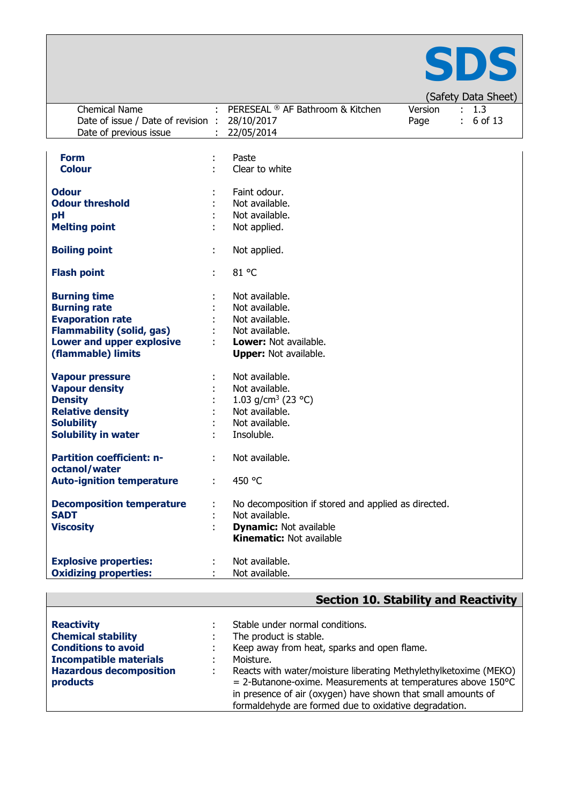

|                                    |   |                                                     |         | $\sqrt{2}$  |
|------------------------------------|---|-----------------------------------------------------|---------|-------------|
| <b>Chemical Name</b>               |   | PERESEAL ® AF Bathroom & Kitchen                    | Version | : 1.3       |
| Date of issue / Date of revision : |   | 28/10/2017                                          | Page    | $: 6$ of 13 |
| Date of previous issue             |   | 22/05/2014                                          |         |             |
|                                    |   |                                                     |         |             |
|                                    |   |                                                     |         |             |
| <b>Form</b>                        |   | Paste                                               |         |             |
| <b>Colour</b>                      | ٠ | Clear to white                                      |         |             |
|                                    |   |                                                     |         |             |
| <b>Odour</b>                       |   | Faint odour.                                        |         |             |
| <b>Odour threshold</b>             |   | Not available.                                      |         |             |
|                                    |   |                                                     |         |             |
| pH                                 |   | Not available.                                      |         |             |
| <b>Melting point</b>               |   | Not applied.                                        |         |             |
|                                    |   |                                                     |         |             |
| <b>Boiling point</b>               | ÷ | Not applied.                                        |         |             |
|                                    |   |                                                     |         |             |
| <b>Flash point</b>                 | ÷ | 81 °C                                               |         |             |
|                                    |   |                                                     |         |             |
| <b>Burning time</b>                |   | Not available.                                      |         |             |
| <b>Burning rate</b>                |   | Not available.                                      |         |             |
|                                    |   |                                                     |         |             |
| <b>Evaporation rate</b>            |   | Not available.                                      |         |             |
| <b>Flammability (solid, gas)</b>   |   | Not available.                                      |         |             |
| <b>Lower and upper explosive</b>   |   | Lower: Not available.                               |         |             |
| (flammable) limits                 |   | <b>Upper:</b> Not available.                        |         |             |
|                                    |   |                                                     |         |             |
| <b>Vapour pressure</b>             |   | Not available.                                      |         |             |
| <b>Vapour density</b>              |   | Not available.                                      |         |             |
| <b>Density</b>                     |   | 1.03 g/cm <sup>3</sup> (23 °C)                      |         |             |
|                                    |   |                                                     |         |             |
| <b>Relative density</b>            |   | Not available.                                      |         |             |
| <b>Solubility</b>                  |   | Not available.                                      |         |             |
| <b>Solubility in water</b>         |   | Insoluble.                                          |         |             |
|                                    |   |                                                     |         |             |
| <b>Partition coefficient: n-</b>   |   | Not available.                                      |         |             |
| octanol/water                      |   |                                                     |         |             |
| <b>Auto-ignition temperature</b>   | ÷ | 450 °C                                              |         |             |
|                                    |   |                                                     |         |             |
| <b>Decomposition temperature</b>   |   | No decomposition if stored and applied as directed. |         |             |
| <b>SADT</b>                        |   |                                                     |         |             |
|                                    |   | Not available.                                      |         |             |
| <b>Viscosity</b>                   |   | <b>Dynamic: Not available</b>                       |         |             |
|                                    |   | <b>Kinematic: Not available</b>                     |         |             |
|                                    |   |                                                     |         |             |
| <b>Explosive properties:</b>       |   | Not available.                                      |         |             |
| <b>Oxidizing properties:</b>       |   | Not available.                                      |         |             |

| <b>Section 10. Stability and Reactivity</b> |  |
|---------------------------------------------|--|
|---------------------------------------------|--|

| <b>Reactivity</b>              | Stable under normal conditions.                                           |
|--------------------------------|---------------------------------------------------------------------------|
| <b>Chemical stability</b>      | The product is stable.                                                    |
| <b>Conditions to avoid</b>     | Keep away from heat, sparks and open flame.                               |
| <b>Incompatible materials</b>  | Moisture.                                                                 |
| <b>Hazardous decomposition</b> | Reacts with water/moisture liberating Methylethylketoxime (MEKO)          |
| products                       | $=$ 2-Butanone-oxime. Measurements at temperatures above 150 $^{\circ}$ C |
|                                | in presence of air (oxygen) have shown that small amounts of              |
|                                | formaldehyde are formed due to oxidative degradation.                     |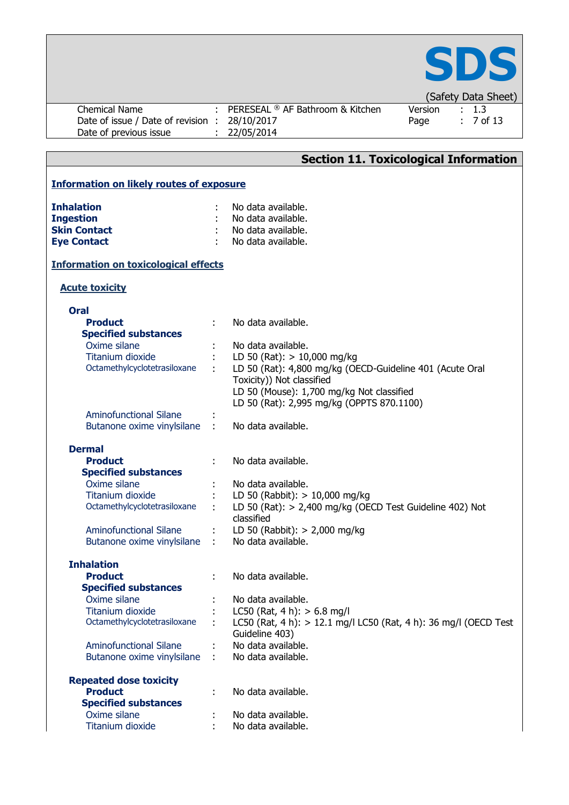

| Chemical Name                    | PERESEAL ® AF Bathroom & Kitchen | Version | . 1.3       |
|----------------------------------|----------------------------------|---------|-------------|
| Date of issue / Date of revision | : 28/10/2017                     | Page    | $: 7$ of 13 |
| Date of previous issue           | 22/05/2014                       |         |             |

|                                                 | <b>Section 11. Toxicological Information</b>                       |  |
|-------------------------------------------------|--------------------------------------------------------------------|--|
| <b>Information on likely routes of exposure</b> |                                                                    |  |
|                                                 |                                                                    |  |
| <b>Inhalation</b>                               | No data available.                                                 |  |
| <b>Ingestion</b>                                | No data available.                                                 |  |
| <b>Skin Contact</b>                             | No data available.                                                 |  |
| <b>Eye Contact</b>                              | No data available.                                                 |  |
| <b>Information on toxicological effects</b>     |                                                                    |  |
| <b>Acute toxicity</b>                           |                                                                    |  |
| <b>Oral</b>                                     |                                                                    |  |
| <b>Product</b>                                  | No data available.                                                 |  |
| <b>Specified substances</b>                     |                                                                    |  |
| Oxime silane                                    | No data available.                                                 |  |
| Titanium dioxide                                | LD 50 (Rat): $> 10,000$ mg/kg                                      |  |
| Octamethylcyclotetrasiloxane                    | LD 50 (Rat): 4,800 mg/kg (OECD-Guideline 401 (Acute Oral           |  |
|                                                 | Toxicity)) Not classified                                          |  |
|                                                 | LD 50 (Mouse): 1,700 mg/kg Not classified                          |  |
|                                                 | LD 50 (Rat): 2,995 mg/kg (OPPTS 870.1100)                          |  |
| <b>Aminofunctional Silane</b>                   |                                                                    |  |
| Butanone oxime vinylsilane                      | No data available.                                                 |  |
| <b>Dermal</b>                                   |                                                                    |  |
| <b>Product</b>                                  | No data available.                                                 |  |
| <b>Specified substances</b>                     |                                                                    |  |
| Oxime silane                                    | No data available.                                                 |  |
| Titanium dioxide                                | LD 50 (Rabbit): $> 10,000$ mg/kg                                   |  |
| Octamethylcyclotetrasiloxane                    | LD 50 (Rat): $> 2,400$ mg/kg (OECD Test Guideline 402) Not         |  |
|                                                 | classified                                                         |  |
| <b>Aminofunctional Silane</b>                   | LD 50 (Rabbit): $> 2,000$ mg/kg                                    |  |
| $\mathbf{r}$<br>Butanone oxime vinylsilane      | No data available.                                                 |  |
| <b>Inhalation</b>                               |                                                                    |  |
| <b>Product</b>                                  | No data available.                                                 |  |
| <b>Specified substances</b>                     |                                                                    |  |
| Oxime silane                                    | No data available.                                                 |  |
| <b>Titanium dioxide</b>                         | LC50 (Rat, 4 h): $> 6.8$ mg/l                                      |  |
| Octamethylcyclotetrasiloxane                    | LC50 (Rat, 4 h): $> 12.1$ mg/l LC50 (Rat, 4 h): 36 mg/l (OECD Test |  |
|                                                 | Guideline 403)                                                     |  |
| <b>Aminofunctional Silane</b>                   | No data available.                                                 |  |
| Butanone oxime vinylsilane                      | No data available.                                                 |  |
| <b>Repeated dose toxicity</b>                   |                                                                    |  |
| <b>Product</b>                                  | No data available.                                                 |  |
| <b>Specified substances</b>                     |                                                                    |  |
| Oxime silane                                    | No data available.                                                 |  |
| <b>Titanium dioxide</b>                         | No data available.                                                 |  |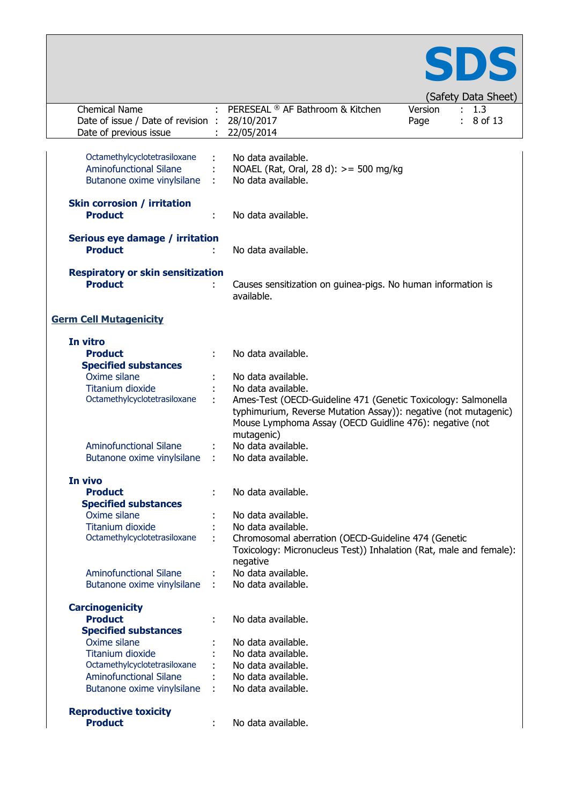

|                                          |   |                                                                    |         | ו אויט וער איזייטען |
|------------------------------------------|---|--------------------------------------------------------------------|---------|---------------------|
| <b>Chemical Name</b>                     |   | PERESEAL ® AF Bathroom & Kitchen                                   | Version | : 1.3               |
| Date of issue / Date of revision :       |   | 28/10/2017                                                         | Page    | 8 of 13             |
| Date of previous issue                   |   | 22/05/2014                                                         |         |                     |
|                                          |   |                                                                    |         |                     |
|                                          |   |                                                                    |         |                     |
| Octamethylcyclotetrasiloxane             |   | No data available.                                                 |         |                     |
| <b>Aminofunctional Silane</b>            |   | NOAEL (Rat, Oral, 28 d): >= 500 mg/kg                              |         |                     |
| Butanone oxime vinylsilane               |   | No data available.                                                 |         |                     |
|                                          |   |                                                                    |         |                     |
| <b>Skin corrosion / irritation</b>       |   |                                                                    |         |                     |
| <b>Product</b>                           |   |                                                                    |         |                     |
|                                          |   | No data available.                                                 |         |                     |
|                                          |   |                                                                    |         |                     |
| Serious eye damage / irritation          |   |                                                                    |         |                     |
| <b>Product</b>                           |   | No data available.                                                 |         |                     |
|                                          |   |                                                                    |         |                     |
| <b>Respiratory or skin sensitization</b> |   |                                                                    |         |                     |
| <b>Product</b>                           | ÷ | Causes sensitization on guinea-pigs. No human information is       |         |                     |
|                                          |   | available.                                                         |         |                     |
|                                          |   |                                                                    |         |                     |
|                                          |   |                                                                    |         |                     |
| <b>Germ Cell Mutagenicity</b>            |   |                                                                    |         |                     |
|                                          |   |                                                                    |         |                     |
| In vitro                                 |   |                                                                    |         |                     |
| <b>Product</b>                           |   | No data available.                                                 |         |                     |
| <b>Specified substances</b>              |   |                                                                    |         |                     |
|                                          |   |                                                                    |         |                     |
| Oxime silane                             |   | No data available.                                                 |         |                     |
| Titanium dioxide                         |   | No data available.                                                 |         |                     |
| Octamethylcyclotetrasiloxane             | ÷ | Ames-Test (OECD-Guideline 471 (Genetic Toxicology: Salmonella      |         |                     |
|                                          |   | typhimurium, Reverse Mutation Assay)): negative (not mutagenic)    |         |                     |
|                                          |   | Mouse Lymphoma Assay (OECD Guidline 476): negative (not            |         |                     |
|                                          |   | mutagenic)                                                         |         |                     |
|                                          |   |                                                                    |         |                     |
| <b>Aminofunctional Silane</b>            |   | No data available.                                                 |         |                     |
| Butanone oxime vinylsilane               | ÷ | No data available.                                                 |         |                     |
|                                          |   |                                                                    |         |                     |
| In vivo                                  |   |                                                                    |         |                     |
| <b>Product</b>                           |   | No data available.                                                 |         |                     |
| <b>Specified substances</b>              |   |                                                                    |         |                     |
| Oxime silane                             |   | No data available.                                                 |         |                     |
|                                          |   |                                                                    |         |                     |
| Titanium dioxide                         |   | No data available.                                                 |         |                     |
| Octamethylcyclotetrasiloxane             |   | Chromosomal aberration (OECD-Guideline 474 (Genetic                |         |                     |
|                                          |   | Toxicology: Micronucleus Test)) Inhalation (Rat, male and female): |         |                     |
|                                          |   | negative                                                           |         |                     |
| <b>Aminofunctional Silane</b>            |   | No data available.                                                 |         |                     |
| Butanone oxime vinylsilane               | ÷ | No data available.                                                 |         |                     |
|                                          |   |                                                                    |         |                     |
|                                          |   |                                                                    |         |                     |
| <b>Carcinogenicity</b>                   |   |                                                                    |         |                     |
| <b>Product</b>                           |   | No data available.                                                 |         |                     |
| <b>Specified substances</b>              |   |                                                                    |         |                     |
| Oxime silane                             |   | No data available.                                                 |         |                     |
| <b>Titanium dioxide</b>                  |   | No data available.                                                 |         |                     |
| Octamethylcyclotetrasiloxane             |   | No data available.                                                 |         |                     |
|                                          |   |                                                                    |         |                     |
| <b>Aminofunctional Silane</b>            |   | No data available.                                                 |         |                     |
| Butanone oxime vinylsilane               |   | No data available.                                                 |         |                     |
|                                          |   |                                                                    |         |                     |
| <b>Reproductive toxicity</b>             |   |                                                                    |         |                     |
| <b>Product</b>                           |   | No data available.                                                 |         |                     |
|                                          |   |                                                                    |         |                     |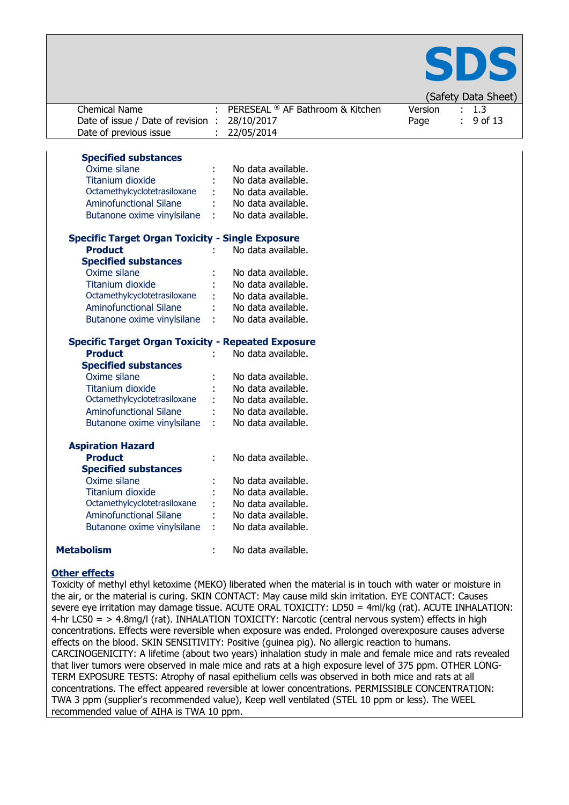

| <b>Chemical Name</b>                                      |           | PERESEAL ® AF Bathroom & Kitchen |         | ÷. | ו אונט ואט ואסטן (<br>1.3 |
|-----------------------------------------------------------|-----------|----------------------------------|---------|----|---------------------------|
|                                                           |           |                                  | Version |    |                           |
| Date of issue / Date of revision                          | $\cdot$ : | 28/10/2017                       | Page    |    | 9 of 13                   |
| Date of previous issue                                    |           | 22/05/2014                       |         |    |                           |
|                                                           |           |                                  |         |    |                           |
| <b>Specified substances</b>                               |           |                                  |         |    |                           |
| Oxime silane                                              |           | No data available.               |         |    |                           |
| Titanium dioxide                                          |           | No data available.               |         |    |                           |
| Octamethylcyclotetrasiloxane                              |           | No data available.               |         |    |                           |
| <b>Aminofunctional Silane</b>                             |           | No data available.               |         |    |                           |
| Butanone oxime vinylsilane                                |           | No data available.               |         |    |                           |
| <b>Specific Target Organ Toxicity - Single Exposure</b>   |           |                                  |         |    |                           |
| <b>Product</b>                                            |           | No data available.               |         |    |                           |
| <b>Specified substances</b>                               |           |                                  |         |    |                           |
| Oxime silane                                              |           | No data available.               |         |    |                           |
| <b>Titanium dioxide</b>                                   |           | No data available.               |         |    |                           |
| Octamethylcyclotetrasiloxane                              |           | No data available.               |         |    |                           |
| <b>Aminofunctional Silane</b>                             |           | No data available.               |         |    |                           |
| Butanone oxime vinylsilane                                |           | No data available.               |         |    |                           |
|                                                           |           |                                  |         |    |                           |
| <b>Specific Target Organ Toxicity - Repeated Exposure</b> |           |                                  |         |    |                           |
| <b>Product</b>                                            |           | No data available.               |         |    |                           |
| <b>Specified substances</b>                               |           |                                  |         |    |                           |
| Oxime silane                                              |           | No data available.               |         |    |                           |
| <b>Titanium dioxide</b>                                   |           | No data available.               |         |    |                           |
| Octamethylcyclotetrasiloxane                              |           | No data available.               |         |    |                           |
| <b>Aminofunctional Silane</b>                             |           | No data available.               |         |    |                           |
| Butanone oxime vinylsilane                                |           | No data available.               |         |    |                           |
| <b>Aspiration Hazard</b>                                  |           |                                  |         |    |                           |
| <b>Product</b>                                            |           | No data available.               |         |    |                           |
| <b>Specified substances</b>                               |           |                                  |         |    |                           |
| Oxime silane                                              |           | No data available.               |         |    |                           |
| <b>Titanium dioxide</b>                                   |           | No data available.               |         |    |                           |
| Octamethylcyclotetrasiloxane                              |           | No data available.               |         |    |                           |
| <b>Aminofunctional Silane</b>                             |           | No data available.               |         |    |                           |
| Butanone oxime vinylsilane                                |           | No data available.               |         |    |                           |
|                                                           |           |                                  |         |    |                           |
| <b>Metabolism</b>                                         |           | No data available.               |         |    |                           |

#### **Other effects**

Toxicity of methyl ethyl ketoxime (MEKO) liberated when the material is in touch with water or moisture in the air, or the material is curing. SKIN CONTACT: May cause mild skin irritation. EYE CONTACT: Causes severe eye irritation may damage tissue. ACUTE ORAL TOXICITY: LD50 = 4ml/kg (rat). ACUTE INHALATION: 4-hr LC50 = > 4.8mg/l (rat). INHALATION TOXICITY: Narcotic (central nervous system) effects in high concentrations. Effects were reversible when exposure was ended. Prolonged overexposure causes adverse effects on the blood. SKIN SENSITIVITY: Positive (guinea pig). No allergic reaction to humans. CARCINOGENICITY: A lifetime (about two years) inhalation study in male and female mice and rats revealed that liver tumors were observed in male mice and rats at a high exposure level of 375 ppm. OTHER LONG-TERM EXPOSURE TESTS: Atrophy of nasal epithelium cells was observed in both mice and rats at all concentrations. The effect appeared reversible at lower concentrations. PERMISSIBLE CONCENTRATION: TWA 3 ppm (supplier's recommended value), Keep well ventilated (STEL 10 ppm or less). The WEEL recommended value of AIHA is TWA 10 ppm.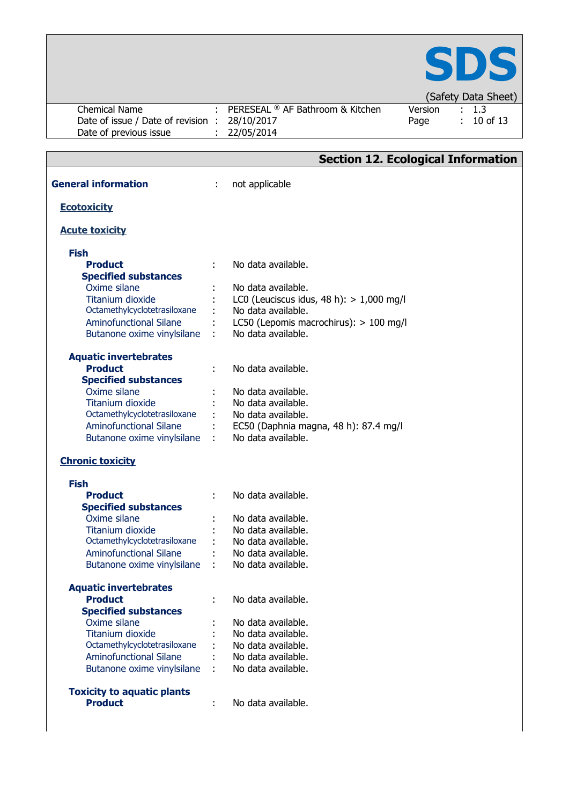

| <b>Chemical Name</b>                           |                | PERESEAL ® AF Bathroom & Kitchen                            | Version | 1.3      |
|------------------------------------------------|----------------|-------------------------------------------------------------|---------|----------|
| Date of issue / Date of revision : 28/10/2017  |                |                                                             | Page    | 10 of 13 |
| Date of previous issue                         |                | 22/05/2014                                                  |         |          |
|                                                |                |                                                             |         |          |
|                                                |                | <b>Section 12. Ecological Information</b>                   |         |          |
|                                                |                |                                                             |         |          |
| <b>General information</b>                     | ÷              | not applicable                                              |         |          |
|                                                |                |                                                             |         |          |
| <b>Ecotoxicity</b>                             |                |                                                             |         |          |
| <b>Acute toxicity</b>                          |                |                                                             |         |          |
|                                                |                |                                                             |         |          |
| <b>Fish</b>                                    |                |                                                             |         |          |
| <b>Product</b>                                 |                | No data available.                                          |         |          |
| <b>Specified substances</b>                    |                |                                                             |         |          |
| Oxime silane                                   |                | No data available.                                          |         |          |
| <b>Titanium dioxide</b>                        |                | LC0 (Leuciscus idus, 48 h): $> 1,000$ mg/l                  |         |          |
| Octamethylcyclotetrasiloxane                   |                | No data available.                                          |         |          |
| <b>Aminofunctional Silane</b>                  |                | LC50 (Lepomis macrochirus): $> 100$ mg/l                    |         |          |
| Butanone oxime vinylsilane                     |                | No data available.                                          |         |          |
|                                                |                |                                                             |         |          |
| <b>Aquatic invertebrates</b>                   |                |                                                             |         |          |
| <b>Product</b>                                 |                | No data available.                                          |         |          |
| <b>Specified substances</b>                    |                |                                                             |         |          |
| Oxime silane                                   |                | No data available.                                          |         |          |
| <b>Titanium dioxide</b>                        |                | No data available.                                          |         |          |
| Octamethylcyclotetrasiloxane                   |                | No data available.                                          |         |          |
| <b>Aminofunctional Silane</b>                  |                | EC50 (Daphnia magna, 48 h): 87.4 mg/l<br>No data available. |         |          |
| Butanone oxime vinylsilane                     | $\sim 10^{-1}$ |                                                             |         |          |
| <b>Chronic toxicity</b>                        |                |                                                             |         |          |
|                                                |                |                                                             |         |          |
| <b>Fish</b>                                    |                |                                                             |         |          |
| <b>Product</b>                                 |                | No data available.                                          |         |          |
| <b>Specified substances</b>                    |                |                                                             |         |          |
| Oxime silane                                   |                | No data available.                                          |         |          |
| Titanium dioxide                               |                | No data available.                                          |         |          |
| Octamethylcyclotetrasiloxane                   |                | No data available.                                          |         |          |
| <b>Aminofunctional Silane</b>                  |                | No data available.                                          |         |          |
| Butanone oxime vinylsilane                     |                | No data available.                                          |         |          |
|                                                |                |                                                             |         |          |
| <b>Aquatic invertebrates</b><br><b>Product</b> |                | No data available.                                          |         |          |
| <b>Specified substances</b>                    |                |                                                             |         |          |
| Oxime silane                                   |                | No data available.                                          |         |          |
| <b>Titanium dioxide</b>                        |                | No data available.                                          |         |          |
| Octamethylcyclotetrasiloxane                   |                | No data available.                                          |         |          |
| <b>Aminofunctional Silane</b>                  |                | No data available.                                          |         |          |
| Butanone oxime vinylsilane                     |                | No data available.                                          |         |          |
|                                                |                |                                                             |         |          |
| <b>Toxicity to aquatic plants</b>              |                |                                                             |         |          |
| <b>Product</b>                                 |                | No data available.                                          |         |          |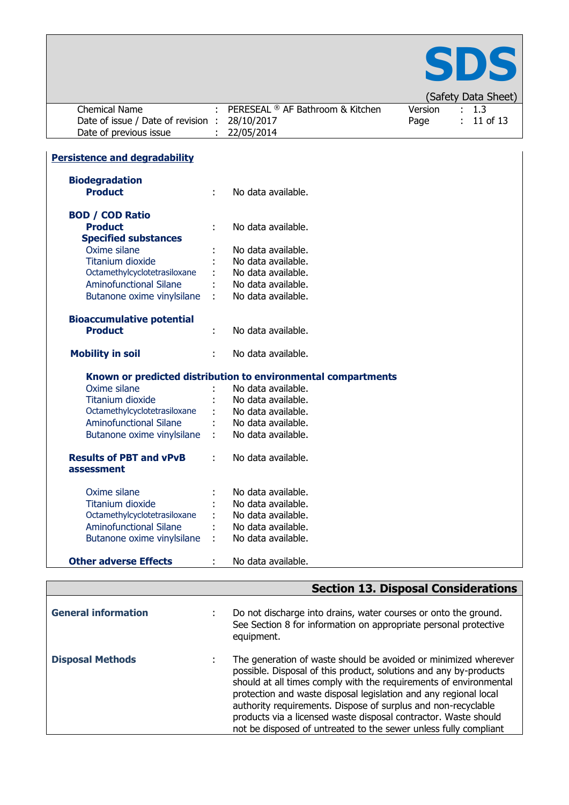

|                                      |    |                                                               |         | (Safety Data Sheet) |
|--------------------------------------|----|---------------------------------------------------------------|---------|---------------------|
| <b>Chemical Name</b>                 |    | PERESEAL ® AF Bathroom & Kitchen                              | Version | 1.3                 |
| Date of issue / Date of revision :   |    | 28/10/2017                                                    | Page    | 11 of 13            |
| Date of previous issue               |    | 22/05/2014                                                    |         |                     |
|                                      |    |                                                               |         |                     |
| <b>Persistence and degradability</b> |    |                                                               |         |                     |
| <b>Biodegradation</b>                |    |                                                               |         |                     |
| <b>Product</b>                       | ÷  | No data available.                                            |         |                     |
| <b>BOD / COD Ratio</b>               |    |                                                               |         |                     |
| <b>Product</b>                       |    | No data available.                                            |         |                     |
| <b>Specified substances</b>          |    |                                                               |         |                     |
| Oxime silane                         |    | No data available.                                            |         |                     |
| <b>Titanium dioxide</b>              |    | No data available.                                            |         |                     |
| Octamethylcyclotetrasiloxane         |    | No data available.                                            |         |                     |
| <b>Aminofunctional Silane</b>        |    | No data available.                                            |         |                     |
| Butanone oxime vinylsilane           |    | No data available.                                            |         |                     |
| <b>Bioaccumulative potential</b>     |    |                                                               |         |                     |
| <b>Product</b>                       | ÷  | No data available.                                            |         |                     |
| <b>Mobility in soil</b>              |    | No data available.                                            |         |                     |
|                                      |    | Known or predicted distribution to environmental compartments |         |                     |
| Oxime silane                         |    | No data available.                                            |         |                     |
| <b>Titanium dioxide</b>              |    | No data available.                                            |         |                     |
| Octamethylcyclotetrasiloxane         |    | No data available.                                            |         |                     |
| <b>Aminofunctional Silane</b>        |    | No data available.                                            |         |                     |
| Butanone oxime vinylsilane           | ÷. | No data available.                                            |         |                     |
| <b>Results of PBT and vPvB</b>       | ÷  | No data available.                                            |         |                     |
| assessment                           |    |                                                               |         |                     |
| Oxime silane                         |    | No data available.                                            |         |                     |
| <b>Titanium dioxide</b>              |    | No data available.                                            |         |                     |
| Octamethylcyclotetrasiloxane         |    | No data available.                                            |         |                     |
| <b>Aminofunctional Silane</b>        |    | No data available.                                            |         |                     |
| Butanone oxime vinylsilane           | ÷  | No data available.                                            |         |                     |
| <b>Other adverse Effects</b>         |    | No data available.                                            |         |                     |

|                            | <b>Section 13. Disposal Considerations</b>                                                                                                                                                                                                                                                                                                                                                                                                                                            |
|----------------------------|---------------------------------------------------------------------------------------------------------------------------------------------------------------------------------------------------------------------------------------------------------------------------------------------------------------------------------------------------------------------------------------------------------------------------------------------------------------------------------------|
| <b>General information</b> | Do not discharge into drains, water courses or onto the ground.<br>See Section 8 for information on appropriate personal protective<br>equipment.                                                                                                                                                                                                                                                                                                                                     |
| <b>Disposal Methods</b>    | The generation of waste should be avoided or minimized wherever<br>possible. Disposal of this product, solutions and any by-products<br>should at all times comply with the requirements of environmental<br>protection and waste disposal legislation and any regional local<br>authority requirements. Dispose of surplus and non-recyclable<br>products via a licensed waste disposal contractor. Waste should<br>not be disposed of untreated to the sewer unless fully compliant |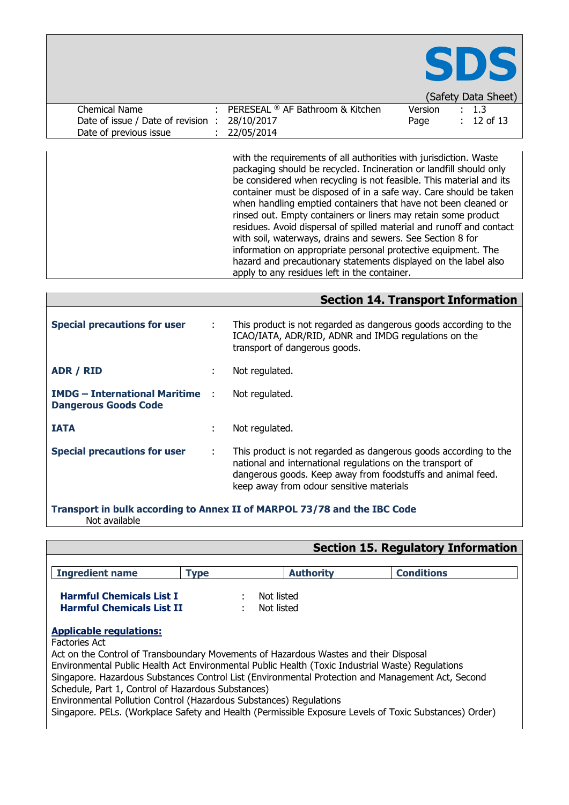|                                    |                                                                                                                                                                                                                                                                                                                                                                                                                                                                                                                                                                                                                                                                                                                                                   |         | SDS<br>(Safety Data Sheet) |
|------------------------------------|---------------------------------------------------------------------------------------------------------------------------------------------------------------------------------------------------------------------------------------------------------------------------------------------------------------------------------------------------------------------------------------------------------------------------------------------------------------------------------------------------------------------------------------------------------------------------------------------------------------------------------------------------------------------------------------------------------------------------------------------------|---------|----------------------------|
| Chemical Name                      | PERESEAL ® AF Bathroom & Kitchen                                                                                                                                                                                                                                                                                                                                                                                                                                                                                                                                                                                                                                                                                                                  | Version | : 1.3                      |
| Date of issue / Date of revision : | 28/10/2017                                                                                                                                                                                                                                                                                                                                                                                                                                                                                                                                                                                                                                                                                                                                        | Page    | $: 12$ of 13               |
| Date of previous issue             | 22/05/2014                                                                                                                                                                                                                                                                                                                                                                                                                                                                                                                                                                                                                                                                                                                                        |         |                            |
|                                    | with the requirements of all authorities with jurisdiction. Waste<br>packaging should be recycled. Incineration or landfill should only<br>be considered when recycling is not feasible. This material and its<br>container must be disposed of in a safe way. Care should be taken<br>when handling emptied containers that have not been cleaned or<br>rinsed out. Empty containers or liners may retain some product<br>residues. Avoid dispersal of spilled material and runoff and contact<br>with soil, waterways, drains and sewers. See Section 8 for<br>information on appropriate personal protective equipment. The<br>hazard and precautionary statements displayed on the label also<br>apply to any residues left in the container. |         |                            |

|                                                                          |               | <b>Section 14. Transport Information</b>                                                                                                                                                                                                  |  |  |  |
|--------------------------------------------------------------------------|---------------|-------------------------------------------------------------------------------------------------------------------------------------------------------------------------------------------------------------------------------------------|--|--|--|
| <b>Special precautions for user</b>                                      | $\mathcal{L}$ | This product is not regarded as dangerous goods according to the<br>ICAO/IATA, ADR/RID, ADNR and IMDG regulations on the<br>transport of dangerous goods.                                                                                 |  |  |  |
| ADR / RID                                                                | ÷             | Not regulated.                                                                                                                                                                                                                            |  |  |  |
| <b>IMDG - International Maritime :</b><br><b>Dangerous Goods Code</b>    |               | Not regulated.                                                                                                                                                                                                                            |  |  |  |
| <b>IATA</b>                                                              | ٠             | Not regulated.                                                                                                                                                                                                                            |  |  |  |
| <b>Special precautions for user</b>                                      | ÷             | This product is not regarded as dangerous goods according to the<br>national and international regulations on the transport of<br>dangerous goods. Keep away from foodstuffs and animal feed.<br>keep away from odour sensitive materials |  |  |  |
| Transport in bulk according to Annex II of MARPOL 73/78 and the IBC Code |               |                                                                                                                                                                                                                                           |  |  |  |

Not available

# **Section 15. Regulatory Information**

| <b>Ingredient name</b>                                                                            | <b>Type</b> | <b>Authority</b> | <b>Conditions</b> |
|---------------------------------------------------------------------------------------------------|-------------|------------------|-------------------|
| <b>Harmful Chemicals List I</b>                                                                   |             | Not listed       |                   |
| <b>Harmful Chemicals List II</b>                                                                  |             | Not listed       |                   |
| <b>Applicable regulations:</b>                                                                    |             |                  |                   |
| <b>Factories Act</b>                                                                              |             |                  |                   |
| Act on the Control of Transboundary Movements of Hazardous Wastes and their Disposal              |             |                  |                   |
| Environmental Public Health Act Environmental Public Health (Toxic Industrial Waste) Regulations  |             |                  |                   |
| Singapore. Hazardous Substances Control List (Environmental Protection and Management Act, Second |             |                  |                   |
| Schedule, Part 1, Control of Hazardous Substances)                                                |             |                  |                   |
| Environmental Pollution Control (Hazardous Substances) Regulations                                |             |                  |                   |
|                                                                                                   |             |                  |                   |

Singapore. PELs. (Workplace Safety and Health (Permissible Exposure Levels of Toxic Substances) Order)